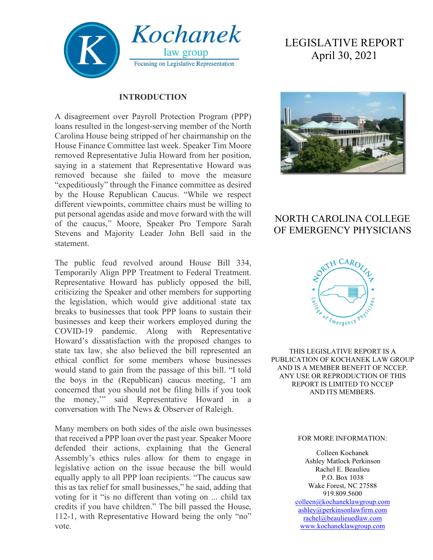

#### **INTRODUCTION**

A disagreement over Payroll Protection Program (PPP) loans resulted in the longest-serving member of the North Carolina House being stripped of her chairmanship on the House Finance Committee last week. Speaker Tim Moore removed Representative Julia Howard from her position, saying in a statement that Representative Howard was removed because she failed to move the measure "expeditiously" through the Finance committee as desired by the House Republican Caucus. "While we respect different viewpoints, committee chairs must be willing to put personal agendas aside and move forward with the will of the caucus," Moore, Speaker Pro Tempore Sarah Stevens and Majority Leader John Bell said in the statement.

The public feud revolved around House Bill 334, Temporarily Align PPP Treatment to Federal Treatment. Representative Howard has publicly opposed the bill, criticizing the Speaker and other members for supporting the legislation, which would give additional state tax breaks to businesses that took PPP loans to sustain their businesses and keep their workers employed during the COVID-19 pandemic. Along with Representative Howard's dissatisfaction with the proposed changes to state tax law, she also believed the bill represented an ethical conflict for some members whose businesses would stand to gain from the passage of this bill. "I told the boys in the (Republican) caucus meeting, 'I am concerned that you should not be filing bills if you took the money,'" said Representative Howard in a conversation with The News & Observer of Raleigh.

Many members on both sides of the aisle own businesses that received a PPP loan over the past year. Speaker Moore defended their actions, explaining that the General Assembly's ethics rules allow for them to engage in legislative action on the issue because the bill would equally apply to all PPP loan recipients. "The caucus saw this as tax relief for small businesses," he said, adding that voting for it "is no different than voting on ... child tax credits if you have children." The bill passed the House, 112-1, with Representative Howard being the only "no" vote.

# LEGISLATIVE REPORT April 30, 2021



# NORTH CAROLINA COLLEGE OF EMERGENCY PHYSICIANS



THIS LEGISLATIVE REPORT IS A PUBLICATION OF KOCHANEK LAW GROUP AND IS A MEMBER BENEFIT OF NCCEP. ANY USE OR REPRODUCTION OF THIS REPORT IS LIMITED TO NCCEP AND ITS MEMBERS.

#### FOR MORE INFORMATION:

Colleen Kochanek Ashley Matlock Perkinson Rachel E. Beaulieu P.O. Box 1038 Wake Forest, NC 27588 919.809.5600 [colleen@kochaneklawgroup.com](mailto:colleen@kochaneklawgroup.com)

[ashley@perkinsonlawfirm.com](mailto:ashley@perkinsonlawfirm.com) [rachel@beaulieuedlaw.com](mailto:rachel@beaulieuedlaw.com) [www.kochaneklawgroup.com](http://www.kochaneklawgroup.com/)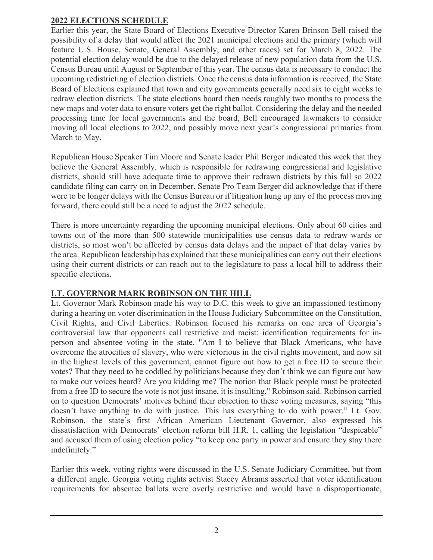#### **2022 ELECTIONS SCHEDULE**

Earlier this year, the State Board of Elections Executive Director Karen Brinson Bell raised the possibility of a delay that would affect the 2021 municipal elections and the primary (which will feature U.S. House, Senate, General Assembly, and other races) set for March 8, 2022. The potential election delay would be due to the delayed release of new population data from the U.S. Census Bureau until August or September of this year. The census data is necessary to conduct the upcoming redistricting of election districts. Once the census data information is received, the State Board of Elections explained that town and city governments generally need six to eight weeks to redraw election districts. The state elections board then needs roughly two months to process the new maps and voter data to ensure voters get the right ballot. Considering the delay and the needed processing time for local governments and the board, Bell encouraged lawmakers to consider moving all local elections to 2022, and possibly move next year's congressional primaries from March to May.

Republican House Speaker Tim Moore and Senate leader Phil Berger indicated this week that they believe the General Assembly, which is responsible for redrawing congressional and legislative districts, should still have adequate time to approve their redrawn districts by this fall so 2022 candidate filing can carry on in December. Senate Pro Team Berger did acknowledge that if there were to be longer delays with the Census Bureau or if litigation hung up any of the process moving forward, there could still be a need to adjust the 2022 schedule.

There is more uncertainty regarding the upcoming municipal elections. Only about 60 cities and towns out of the more than 500 statewide municipalities use census data to redraw wards or districts, so most won't be affected by census data delays and the impact of that delay varies by the area. Republican leadership has explained that these municipalities can carry out their elections using their current districts or can reach out to the legislature to pass a local bill to address their specific elections.

# **LT. GOVERNOR MARK ROBINSON ON THE HILL**

Lt. Governor Mark Robinson made his way to D.C. this week to give an impassioned testimony during a hearing on voter discrimination in the House Judiciary Subcommittee on the Constitution, Civil Rights, and Civil Liberties. Robinson focused his remarks on one area of Georgia's controversial law that opponents call restrictive and racist: identification requirements for inperson and absentee voting in the state. "Am I to believe that Black Americans, who have overcome the atrocities of slavery, who were victorious in the civil rights movement, and now sit in the highest levels of this government, cannot figure out how to get a free ID to secure their votes? That they need to be coddled by politicians because they don't think we can figure out how to make our voices heard? Are you kidding me? The notion that Black people must be protected from a free ID to secure the vote is not just insane, it is insulting," Robinson said. Robinson carried on to question Democrats' motives behind their objection to these voting measures, saying "this doesn't have anything to do with justice. This has everything to do with power." Lt. Gov. Robinson, the state's first African American Lieutenant Governor, also expressed his dissatisfaction with Democrats' election reform bill H.R. 1, calling the legislation "despicable" and accused them of using election policy "to keep one party in power and ensure they stay there indefinitely."

Earlier this week, voting rights were discussed in the U.S. Senate Judiciary Committee, but from a different angle. Georgia voting rights activist Stacey Abrams asserted that voter identification requirements for absentee ballots were overly restrictive and would have a disproportionate,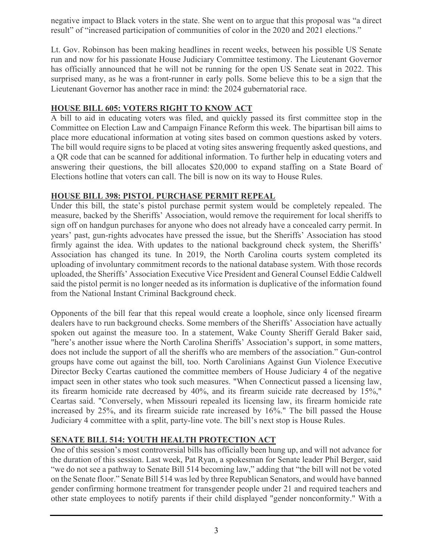negative impact to Black voters in the state. She went on to argue that this proposal was "a direct result" of "increased participation of communities of color in the 2020 and 2021 elections."

Lt. Gov. Robinson has been making headlines in recent weeks, between his possible US Senate run and now for his passionate House Judiciary Committee testimony. The Lieutenant Governor has officially announced that he will not be running for the open US Senate seat in 2022. This surprised many, as he was a front-runner in early polls. Some believe this to be a sign that the Lieutenant Governor has another race in mind: the 2024 gubernatorial race.

# **HOUSE BILL 605: VOTERS RIGHT TO KNOW ACT**

A bill to aid in educating voters was filed, and quickly passed its first committee stop in the Committee on Election Law and Campaign Finance Reform this week. The bipartisan bill aims to place more educational information at voting sites based on common questions asked by voters. The bill would require signs to be placed at voting sites answering frequently asked questions, and a QR code that can be scanned for additional information. To further help in educating voters and answering their questions, the bill allocates \$20,000 to expand staffing on a State Board of Elections hotline that voters can call. The bill is now on its way to House Rules.

### **HOUSE BILL 398: PISTOL PURCHASE PERMIT REPEAL**

Under this bill, the state's pistol purchase permit system would be completely repealed. The measure, backed by the Sheriffs' Association, would remove the requirement for local sheriffs to sign off on handgun purchases for anyone who does not already have a concealed carry permit. In years' past, gun-rights advocates have pressed the issue, but the Sheriffs' Association has stood firmly against the idea. With updates to the national background check system, the Sheriffs' Association has changed its tune. In 2019, the North Carolina courts system completed its uploading of involuntary commitment records to the national database system. With those records uploaded, the Sheriffs' Association Executive Vice President and General Counsel Eddie Caldwell said the pistol permit is no longer needed as its information is duplicative of the information found from the National Instant Criminal Background check.

Opponents of the bill fear that this repeal would create a loophole, since only licensed firearm dealers have to run background checks. Some members of the Sheriffs' Association have actually spoken out against the measure too. In a statement, Wake County Sheriff Gerald Baker said, "here's another issue where the North Carolina Sheriffs' Association's support, in some matters, does not include the support of all the sheriffs who are members of the association." Gun-control groups have come out against the bill, too. North Carolinians Against Gun Violence Executive Director Becky Ceartas cautioned the committee members of House Judiciary 4 of the negative impact seen in other states who took such measures. "When Connecticut passed a licensing law, its firearm homicide rate decreased by 40%, and its firearm suicide rate decreased by 15%," Ceartas said. "Conversely, when Missouri repealed its licensing law, its firearm homicide rate increased by 25%, and its firearm suicide rate increased by 16%." The bill passed the House Judiciary 4 committee with a split, party-line vote. The bill's next stop is House Rules.

# **SENATE BILL 514: YOUTH HEALTH PROTECTION ACT**

One of this session's most controversial bills has officially been hung up, and will not advance for the duration of this session. Last week, Pat Ryan, a spokesman for Senate leader Phil Berger, said "we do not see a pathway to Senate Bill 514 becoming law," adding that "the bill will not be voted on the Senate floor." Senate Bill 514 was led by three Republican Senators, and would have banned gender confirming hormone treatment for transgender people under 21 and required teachers and other state employees to notify parents if their child displayed "gender nonconformity." With a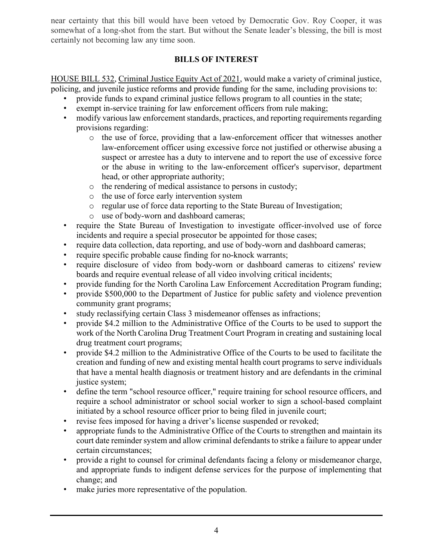near certainty that this bill would have been vetoed by Democratic Gov. Roy Cooper, it was somewhat of a long-shot from the start. But without the Senate leader's blessing, the bill is most certainly not becoming law any time soon.

# **BILLS OF INTEREST**

HOUSE BILL 532, Criminal Justice Equity Act of 2021, would make a variety of criminal justice, policing, and juvenile justice reforms and provide funding for the same, including provisions to:

- provide funds to expand criminal justice fellows program to all counties in the state;
- exempt in-service training for law enforcement officers from rule making;
- modify various law enforcement standards, practices, and reporting requirements regarding provisions regarding:
	- o the use of force, providing that a law-enforcement officer that witnesses another law-enforcement officer using excessive force not justified or otherwise abusing a suspect or arrestee has a duty to intervene and to report the use of excessive force or the abuse in writing to the law-enforcement officer's supervisor, department head, or other appropriate authority;
	- o the rendering of medical assistance to persons in custody;
	- o the use of force early intervention system
	- o regular use of force data reporting to the State Bureau of Investigation;
	- o use of body-worn and dashboard cameras;
- require the State Bureau of Investigation to investigate officer-involved use of force incidents and require a special prosecutor be appointed for those cases;
- require data collection, data reporting, and use of body-worn and dashboard cameras;
- require specific probable cause finding for no-knock warrants;
- require disclosure of video from body-worn or dashboard cameras to citizens' review boards and require eventual release of all video involving critical incidents;
- provide funding for the North Carolina Law Enforcement Accreditation Program funding;
- provide \$500,000 to the Department of Justice for public safety and violence prevention community grant programs;
- study reclassifying certain Class 3 misdemeanor offenses as infractions;
- provide \$4.2 million to the Administrative Office of the Courts to be used to support the work of the North Carolina Drug Treatment Court Program in creating and sustaining local drug treatment court programs;
- provide \$4.2 million to the Administrative Office of the Courts to be used to facilitate the creation and funding of new and existing mental health court programs to serve individuals that have a mental health diagnosis or treatment history and are defendants in the criminal justice system;
- define the term "school resource officer," require training for school resource officers, and require a school administrator or school social worker to sign a school-based complaint initiated by a school resource officer prior to being filed in juvenile court;
- revise fees imposed for having a driver's license suspended or revoked;
- appropriate funds to the Administrative Office of the Courts to strengthen and maintain its court date reminder system and allow criminal defendants to strike a failure to appear under certain circumstances;
- provide a right to counsel for criminal defendants facing a felony or misdemeanor charge, and appropriate funds to indigent defense services for the purpose of implementing that change; and
- make juries more representative of the population.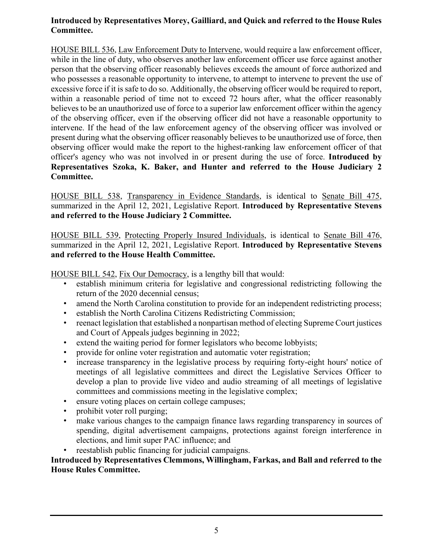### **Introduced by Representatives Morey, Gailliard, and Quick and referred to the House Rules Committee.**

HOUSE BILL 536, Law Enforcement Duty to Intervene, would require a law enforcement officer, while in the line of duty, who observes another law enforcement officer use force against another person that the observing officer reasonably believes exceeds the amount of force authorized and who possesses a reasonable opportunity to intervene, to attempt to intervene to prevent the use of excessive force if it is safe to do so. Additionally, the observing officer would be required to report, within a reasonable period of time not to exceed 72 hours after, what the officer reasonably believes to be an unauthorized use of force to a superior law enforcement officer within the agency of the observing officer, even if the observing officer did not have a reasonable opportunity to intervene. If the head of the law enforcement agency of the observing officer was involved or present during what the observing officer reasonably believes to be unauthorized use of force, then observing officer would make the report to the highest-ranking law enforcement officer of that officer's agency who was not involved in or present during the use of force. **Introduced by Representatives Szoka, K. Baker, and Hunter and referred to the House Judiciary 2 Committee.**

HOUSE BILL 538, Transparency in Evidence Standards, is identical to Senate Bill 475, summarized in the April 12, 2021, Legislative Report. **Introduced by Representative Stevens and referred to the House Judiciary 2 Committee.**

HOUSE BILL 539, Protecting Properly Insured Individuals, is identical to Senate Bill 476, summarized in the April 12, 2021, Legislative Report. **Introduced by Representative Stevens and referred to the House Health Committee.**

HOUSE BILL 542, Fix Our Democracy, is a lengthy bill that would:

- establish minimum criteria for legislative and congressional redistricting following the return of the 2020 decennial census;
- amend the North Carolina constitution to provide for an independent redistricting process;
- establish the North Carolina Citizens Redistricting Commission;
- reenact legislation that established a nonpartisan method of electing Supreme Court justices and Court of Appeals judges beginning in 2022;
- extend the waiting period for former legislators who become lobbyists;
- provide for online voter registration and automatic voter registration;
- increase transparency in the legislative process by requiring forty-eight hours' notice of meetings of all legislative committees and direct the Legislative Services Officer to develop a plan to provide live video and audio streaming of all meetings of legislative committees and commissions meeting in the legislative complex;
- ensure voting places on certain college campuses;
- prohibit voter roll purging;
- make various changes to the campaign finance laws regarding transparency in sources of spending, digital advertisement campaigns, protections against foreign interference in elections, and limit super PAC influence; and
- reestablish public financing for judicial campaigns.

### **Introduced by Representatives Clemmons, Willingham, Farkas, and Ball and referred to the House Rules Committee.**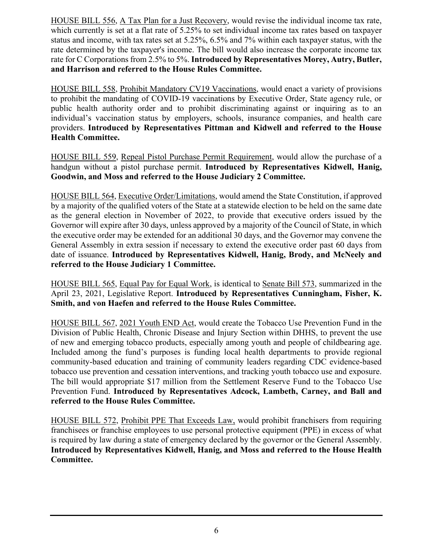HOUSE BILL 556, A Tax Plan for a Just Recovery, would revise the individual income tax rate, which currently is set at a flat rate of 5.25% to set individual income tax rates based on taxpayer status and income, with tax rates set at 5.25%, 6.5% and 7% within each taxpayer status, with the rate determined by the taxpayer's income. The bill would also increase the corporate income tax rate for C Corporations from 2.5% to 5%. **Introduced by Representatives Morey, Autry, Butler, and Harrison and referred to the House Rules Committee.**

HOUSE BILL 558, Prohibit Mandatory CV19 Vaccinations, would enact a variety of provisions to prohibit the mandating of COVID-19 vaccinations by Executive Order, State agency rule, or public health authority order and to prohibit discriminating against or inquiring as to an individual's vaccination status by employers, schools, insurance companies, and health care providers. **Introduced by Representatives Pittman and Kidwell and referred to the House Health Committee.**

HOUSE BILL 559, Repeal Pistol Purchase Permit Requirement, would allow the purchase of a handgun without a pistol purchase permit. **Introduced by Representatives Kidwell, Hanig, Goodwin, and Moss and referred to the House Judiciary 2 Committee.**

HOUSE BILL 564, Executive Order/Limitations, would amend the State Constitution, if approved by a majority of the qualified voters of the State at a statewide election to be held on the same date as the general election in November of 2022, to provide that executive orders issued by the Governor will expire after 30 days, unless approved by a majority of the Council of State, in which the executive order may be extended for an additional 30 days, and the Governor may convene the General Assembly in extra session if necessary to extend the executive order past 60 days from date of issuance. **Introduced by Representatives Kidwell, Hanig, Brody, and McNeely and referred to the House Judiciary 1 Committee.**

HOUSE BILL 565, Equal Pay for Equal Work, is identical to Senate Bill 573, summarized in the April 23, 2021, Legislative Report. **Introduced by Representatives Cunningham, Fisher, K. Smith, and von Haefen and referred to the House Rules Committee.**

HOUSE BILL 567, 2021 Youth END Act, would create the Tobacco Use Prevention Fund in the Division of Public Health, Chronic Disease and Injury Section within DHHS, to prevent the use of new and emerging tobacco products, especially among youth and people of childbearing age. Included among the fund's purposes is funding local health departments to provide regional community-based education and training of community leaders regarding CDC evidence-based tobacco use prevention and cessation interventions, and tracking youth tobacco use and exposure. The bill would appropriate \$17 million from the Settlement Reserve Fund to the Tobacco Use Prevention Fund. **Introduced by Representatives Adcock, Lambeth, Carney, and Ball and referred to the House Rules Committee.**

HOUSE BILL 572, Prohibit PPE That Exceeds Law, would prohibit franchisers from requiring franchisees or franchise employees to use personal protective equipment (PPE) in excess of what is required by law during a state of emergency declared by the governor or the General Assembly. **Introduced by Representatives Kidwell, Hanig, and Moss and referred to the House Health Committee.**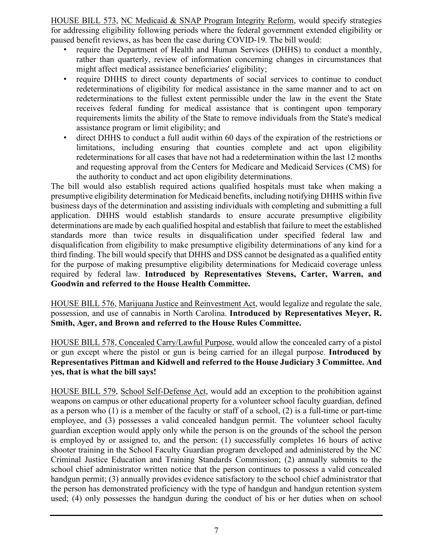HOUSE BILL 573, NC Medicaid & SNAP Program Integrity Reform, would specify strategies for addressing eligibility following periods where the federal government extended eligibility or paused benefit reviews, as has been the case during COVID-19. The bill would:

- require the Department of Health and Human Services (DHHS) to conduct a monthly, rather than quarterly, review of information concerning changes in circumstances that might affect medical assistance beneficiaries' eligibility;
- require DHHS to direct county departments of social services to continue to conduct redeterminations of eligibility for medical assistance in the same manner and to act on redeterminations to the fullest extent permissible under the law in the event the State receives federal funding for medical assistance that is contingent upon temporary requirements limits the ability of the State to remove individuals from the State's medical assistance program or limit eligibility; and
- direct DHHS to conduct a full audit within 60 days of the expiration of the restrictions or limitations, including ensuring that counties complete and act upon eligibility redeterminations for all cases that have not had a redetermination within the last 12 months and requesting approval from the Centers for Medicare and Medicaid Services (CMS) for the authority to conduct and act upon eligibility determinations.

The bill would also establish required actions qualified hospitals must take when making a presumptive eligibility determination for Medicaid benefits, including notifying DHHS within five business days of the determination and assisting individuals with completing and submitting a full application. DHHS would establish standards to ensure accurate presumptive eligibility determinations are made by each qualified hospital and establish that failure to meet the established standards more than twice results in disqualification under specified federal law and disqualification from eligibility to make presumptive eligibility determinations of any kind for a third finding. The bill would specify that DHHS and DSS cannot be designated as a qualified entity for the purpose of making presumptive eligibility determinations for Medicaid coverage unless required by federal law. **Introduced by Representatives Stevens, Carter, Warren, and Goodwin and referred to the House Health Committee.**

HOUSE BILL 576, Marijuana Justice and Reinvestment Act, would legalize and regulate the sale, possession, and use of cannabis in North Carolina. **Introduced by Representatives Meyer, R. Smith, Ager, and Brown and referred to the House Rules Committee.**

HOUSE BILL 578, Concealed Carry/Lawful Purpose, would allow the concealed carry of a pistol or gun except where the pistol or gun is being carried for an illegal purpose. **Introduced by Representatives Pittman and Kidwell and referred to the House Judiciary 3 Committee. And yes, that is what the bill says!**

HOUSE BILL 579, School Self-Defense Act, would add an exception to the prohibition against weapons on campus or other educational property for a volunteer school faculty guardian, defined as a person who (1) is a member of the faculty or staff of a school, (2) is a full-time or part-time employee, and (3) possesses a valid concealed handgun permit. The volunteer school faculty guardian exception would apply only while the person is on the grounds of the school the person is employed by or assigned to, and the person: (1) successfully completes 16 hours of active shooter training in the School Faculty Guardian program developed and administered by the NC Criminal Justice Education and Training Standards Commission; (2) annually submits to the school chief administrator written notice that the person continues to possess a valid concealed handgun permit; (3) annually provides evidence satisfactory to the school chief administrator that the person has demonstrated proficiency with the type of handgun and handgun retention system used; (4) only possesses the handgun during the conduct of his or her duties when on school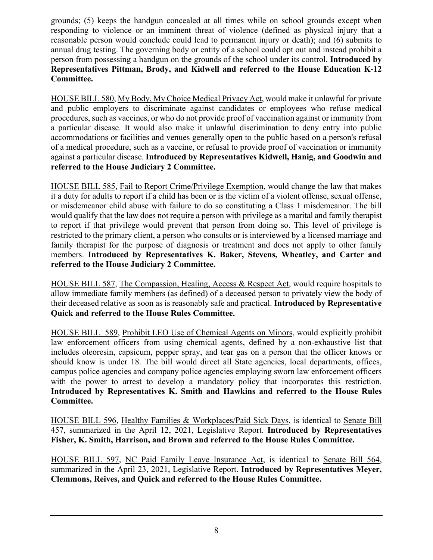grounds; (5) keeps the handgun concealed at all times while on school grounds except when responding to violence or an imminent threat of violence (defined as physical injury that a reasonable person would conclude could lead to permanent injury or death); and (6) submits to annual drug testing. The governing body or entity of a school could opt out and instead prohibit a person from possessing a handgun on the grounds of the school under its control. **Introduced by Representatives Pittman, Brody, and Kidwell and referred to the House Education K-12 Committee.**

HOUSE BILL 580, My Body, My Choice Medical Privacy Act, would make it unlawful for private and public employers to discriminate against candidates or employees who refuse medical procedures, such as vaccines, or who do not provide proof of vaccination against or immunity from a particular disease. It would also make it unlawful discrimination to deny entry into public accommodations or facilities and venues generally open to the public based on a person's refusal of a medical procedure, such as a vaccine, or refusal to provide proof of vaccination or immunity against a particular disease. **Introduced by Representatives Kidwell, Hanig, and Goodwin and referred to the House Judiciary 2 Committee.**

HOUSE BILL 585, Fail to Report Crime/Privilege Exemption, would change the law that makes it a duty for adults to report if a child has been or is the victim of a violent offense, sexual offense, or misdemeanor child abuse with failure to do so constituting a Class 1 misdemeanor. The bill would qualify that the law does not require a person with privilege as a marital and family therapist to report if that privilege would prevent that person from doing so. This level of privilege is restricted to the primary client, a person who consults or is interviewed by a licensed marriage and family therapist for the purpose of diagnosis or treatment and does not apply to other family members. **Introduced by Representatives K. Baker, Stevens, Wheatley, and Carter and referred to the House Judiciary 2 Committee.**

HOUSE BILL 587, The Compassion, Healing, Access & Respect Act, would require hospitals to allow immediate family members (as defined) of a deceased person to privately view the body of their deceased relative as soon as is reasonably safe and practical. **Introduced by Representative Quick and referred to the House Rules Committee.**

HOUSE BILL 589, Prohibit LEO Use of Chemical Agents on Minors, would explicitly prohibit law enforcement officers from using chemical agents, defined by a non-exhaustive list that includes oleoresin, capsicum, pepper spray, and tear gas on a person that the officer knows or should know is under 18. The bill would direct all State agencies, local departments, offices, campus police agencies and company police agencies employing sworn law enforcement officers with the power to arrest to develop a mandatory policy that incorporates this restriction. **Introduced by Representatives K. Smith and Hawkins and referred to the House Rules Committee.** 

HOUSE BILL 596, Healthy Families & Workplaces/Paid Sick Days, is identical to Senate Bill 457, summarized in the April 12, 2021, Legislative Report. **Introduced by Representatives Fisher, K. Smith, Harrison, and Brown and referred to the House Rules Committee.**

HOUSE BILL 597, NC Paid Family Leave Insurance Act, is identical to Senate Bill 564, summarized in the April 23, 2021, Legislative Report. **Introduced by Representatives Meyer, Clemmons, Reives, and Quick and referred to the House Rules Committee.**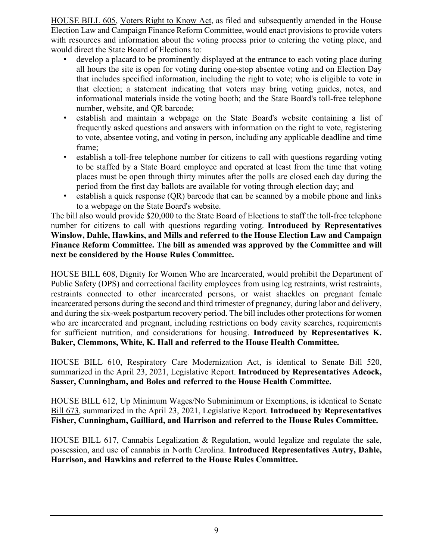HOUSE BILL 605, Voters Right to Know Act, as filed and subsequently amended in the House Election Law and Campaign Finance Reform Committee, would enact provisions to provide voters with resources and information about the voting process prior to entering the voting place, and would direct the State Board of Elections to:

- develop a placard to be prominently displayed at the entrance to each voting place during all hours the site is open for voting during one-stop absentee voting and on Election Day that includes specified information, including the right to vote; who is eligible to vote in that election; a statement indicating that voters may bring voting guides, notes, and informational materials inside the voting booth; and the State Board's toll-free telephone number, website, and QR barcode;
- establish and maintain a webpage on the State Board's website containing a list of frequently asked questions and answers with information on the right to vote, registering to vote, absentee voting, and voting in person, including any applicable deadline and time frame;
- establish a toll-free telephone number for citizens to call with questions regarding voting to be staffed by a State Board employee and operated at least from the time that voting places must be open through thirty minutes after the polls are closed each day during the period from the first day ballots are available for voting through election day; and
- establish a quick response (QR) barcode that can be scanned by a mobile phone and links to a webpage on the State Board's website.

The bill also would provide \$20,000 to the State Board of Elections to staff the toll-free telephone number for citizens to call with questions regarding voting. **Introduced by Representatives Winslow, Dahle, Hawkins, and Mills and referred to the House Election Law and Campaign Finance Reform Committee. The bill as amended was approved by the Committee and will next be considered by the House Rules Committee.**

HOUSE BILL 608, Dignity for Women Who are Incarcerated, would prohibit the Department of Public Safety (DPS) and correctional facility employees from using leg restraints, wrist restraints, restraints connected to other incarcerated persons, or waist shackles on pregnant female incarcerated persons during the second and third trimester of pregnancy, during labor and delivery, and during the six-week postpartum recovery period. The bill includes other protections for women who are incarcerated and pregnant, including restrictions on body cavity searches, requirements for sufficient nutrition, and considerations for housing. **Introduced by Representatives K. Baker, Clemmons, White, K. Hall and referred to the House Health Committee.**

HOUSE BILL 610, Respiratory Care Modernization Act, is identical to Senate Bill 520, summarized in the April 23, 2021, Legislative Report. **Introduced by Representatives Adcock, Sasser, Cunningham, and Boles and referred to the House Health Committee.**

HOUSE BILL 612, Up Minimum Wages/No Subminimum or Exemptions, is identical to Senate Bill 673, summarized in the April 23, 2021, Legislative Report. **Introduced by Representatives Fisher, Cunningham, Gailliard, and Harrison and referred to the House Rules Committee.**

HOUSE BILL 617, Cannabis Legalization & Regulation, would legalize and regulate the sale, possession, and use of cannabis in North Carolina. **Introduced Representatives Autry, Dahle, Harrison, and Hawkins and referred to the House Rules Committee.**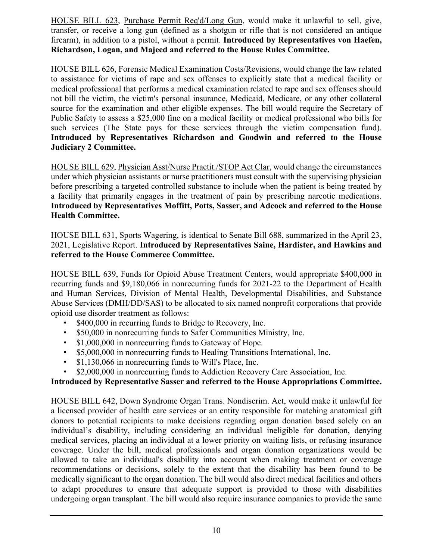HOUSE BILL 623, Purchase Permit Req'd/Long Gun, would make it unlawful to sell, give, transfer, or receive a long gun (defined as a shotgun or rifle that is not considered an antique firearm), in addition to a pistol, without a permit. **Introduced by Representatives von Haefen, Richardson, Logan, and Majeed and referred to the House Rules Committee.**

HOUSE BILL 626, Forensic Medical Examination Costs/Revisions, would change the law related to assistance for victims of rape and sex offenses to explicitly state that a medical facility or medical professional that performs a medical examination related to rape and sex offenses should not bill the victim, the victim's personal insurance, Medicaid, Medicare, or any other collateral source for the examination and other eligible expenses. The bill would require the Secretary of Public Safety to assess a \$25,000 fine on a medical facility or medical professional who bills for such services (The State pays for these services through the victim compensation fund). **Introduced by Representatives Richardson and Goodwin and referred to the House Judiciary 2 Committee.**

HOUSE BILL 629, Physician Asst/Nurse Practit./STOP Act Clar, would change the circumstances under which physician assistants or nurse practitioners must consult with the supervising physician before prescribing a targeted controlled substance to include when the patient is being treated by a facility that primarily engages in the treatment of pain by prescribing narcotic medications. **Introduced by Representatives Moffitt, Potts, Sasser, and Adcock and referred to the House Health Committee.**

HOUSE BILL 631, Sports Wagering, is identical to Senate Bill 688, summarized in the April 23, 2021, Legislative Report. **Introduced by Representatives Saine, Hardister, and Hawkins and referred to the House Commerce Committee.**

HOUSE BILL 639, Funds for Opioid Abuse Treatment Centers, would appropriate \$400,000 in recurring funds and \$9,180,066 in nonrecurring funds for 2021-22 to the Department of Health and Human Services, Division of Mental Health, Developmental Disabilities, and Substance Abuse Services (DMH/DD/SAS) to be allocated to six named nonprofit corporations that provide opioid use disorder treatment as follows:

- \$400,000 in recurring funds to Bridge to Recovery, Inc.
- \$50,000 in nonrecurring funds to Safer Communities Ministry, Inc.
- \$1,000,000 in nonrecurring funds to Gateway of Hope.
- \$5,000,000 in nonrecurring funds to Healing Transitions International, Inc.
- \$1,130,066 in nonrecurring funds to Will's Place, Inc.
- \$2,000,000 in nonrecurring funds to Addiction Recovery Care Association, Inc.

# **Introduced by Representative Sasser and referred to the House Appropriations Committee.**

HOUSE BILL 642, Down Syndrome Organ Trans. Nondiscrim. Act, would make it unlawful for a licensed provider of health care services or an entity responsible for matching anatomical gift donors to potential recipients to make decisions regarding organ donation based solely on an individual's disability, including considering an individual ineligible for donation, denying medical services, placing an individual at a lower priority on waiting lists, or refusing insurance coverage. Under the bill, medical professionals and organ donation organizations would be allowed to take an individual's disability into account when making treatment or coverage recommendations or decisions, solely to the extent that the disability has been found to be medically significant to the organ donation. The bill would also direct medical facilities and others to adapt procedures to ensure that adequate support is provided to those with disabilities undergoing organ transplant. The bill would also require insurance companies to provide the same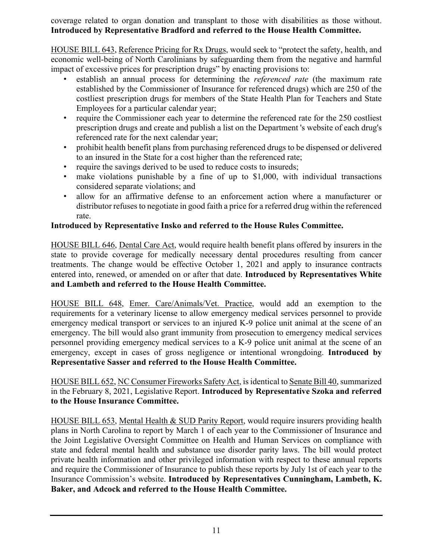coverage related to organ donation and transplant to those with disabilities as those without. **Introduced by Representative Bradford and referred to the House Health Committee.**

HOUSE BILL 643, Reference Pricing for Rx Drugs, would seek to "protect the safety, health, and economic well-being of North Carolinians by safeguarding them from the negative and harmful impact of excessive prices for prescription drugs" by enacting provisions to:

- establish an annual process for determining the *referenced rate* (the maximum rate established by the Commissioner of Insurance for referenced drugs) which are 250 of the costliest prescription drugs for members of the State Health Plan for Teachers and State Employees for a particular calendar year;
- require the Commissioner each year to determine the referenced rate for the 250 costliest prescription drugs and create and publish a list on the Department 's website of each drug's referenced rate for the next calendar year;
- prohibit health benefit plans from purchasing referenced drugs to be dispensed or delivered to an insured in the State for a cost higher than the referenced rate;
- require the savings derived to be used to reduce costs to insureds;
- make violations punishable by a fine of up to \$1,000, with individual transactions considered separate violations; and
- allow for an affirmative defense to an enforcement action where a manufacturer or distributor refuses to negotiate in good faith a price for a referred drug within the referenced rate.

# **Introduced by Representative Insko and referred to the House Rules Committee.**

HOUSE BILL 646, Dental Care Act, would require health benefit plans offered by insurers in the state to provide coverage for medically necessary dental procedures resulting from cancer treatments. The change would be effective October 1, 2021 and apply to insurance contracts entered into, renewed, or amended on or after that date. **Introduced by Representatives White and Lambeth and referred to the House Health Committee.**

HOUSE BILL 648, Emer. Care/Animals/Vet. Practice, would add an exemption to the requirements for a veterinary license to allow emergency medical services personnel to provide emergency medical transport or services to an injured K-9 police unit animal at the scene of an emergency. The bill would also grant immunity from prosecution to emergency medical services personnel providing emergency medical services to a K-9 police unit animal at the scene of an emergency, except in cases of gross negligence or intentional wrongdoing. **Introduced by Representative Sasser and referred to the House Health Committee.**

HOUSE BILL 652, NC Consumer Fireworks Safety Act, is identical to Senate Bill 40, summarized in the February 8, 2021, Legislative Report. **Introduced by Representative Szoka and referred to the House Insurance Committee.**

HOUSE BILL 653, Mental Health & SUD Parity Report, would require insurers providing health plans in North Carolina to report by March 1 of each year to the Commissioner of Insurance and the Joint Legislative Oversight Committee on Health and Human Services on compliance with state and federal mental health and substance use disorder parity laws. The bill would protect private health information and other privileged information with respect to these annual reports and require the Commissioner of Insurance to publish these reports by July 1st of each year to the Insurance Commission's website. **Introduced by Representatives Cunningham, Lambeth, K. Baker, and Adcock and referred to the House Health Committee.**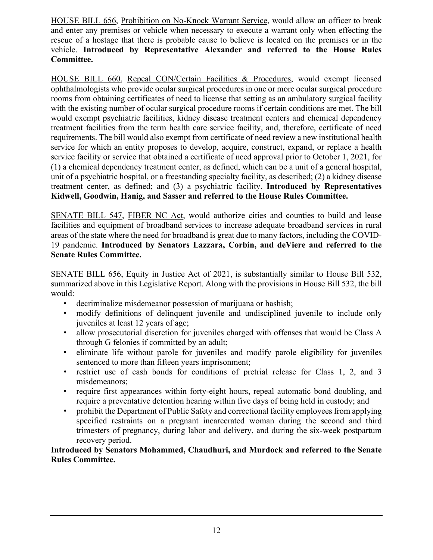HOUSE BILL 656, Prohibition on No-Knock Warrant Service, would allow an officer to break and enter any premises or vehicle when necessary to execute a warrant only when effecting the rescue of a hostage that there is probable cause to believe is located on the premises or in the vehicle. **Introduced by Representative Alexander and referred to the House Rules Committee.**

HOUSE BILL 660, Repeal CON/Certain Facilities & Procedures, would exempt licensed ophthalmologists who provide ocular surgical procedures in one or more ocular surgical procedure rooms from obtaining certificates of need to license that setting as an ambulatory surgical facility with the existing number of ocular surgical procedure rooms if certain conditions are met. The bill would exempt psychiatric facilities, kidney disease treatment centers and chemical dependency treatment facilities from the term health care service facility, and, therefore, certificate of need requirements. The bill would also exempt from certificate of need review a new institutional health service for which an entity proposes to develop, acquire, construct, expand, or replace a health service facility or service that obtained a certificate of need approval prior to October 1, 2021, for (1) a chemical dependency treatment center, as defined, which can be a unit of a general hospital, unit of a psychiatric hospital, or a freestanding specialty facility, as described; (2) a kidney disease treatment center, as defined; and (3) a psychiatric facility. **Introduced by Representatives Kidwell, Goodwin, Hanig, and Sasser and referred to the House Rules Committee.**

SENATE BILL 547, FIBER NC Act, would authorize cities and counties to build and lease facilities and equipment of broadband services to increase adequate broadband services in rural areas of the state where the need for broadband is great due to many factors, including the COVID-19 pandemic. **Introduced by Senators Lazzara, Corbin, and deViere and referred to the Senate Rules Committee.**

SENATE BILL 656, Equity in Justice Act of 2021, is substantially similar to House Bill 532, summarized above in this Legislative Report. Along with the provisions in House Bill 532, the bill would:

- decriminalize misdemeanor possession of marijuana or hashish;
- modify definitions of delinquent juvenile and undisciplined juvenile to include only juveniles at least 12 years of age;
- allow prosecutorial discretion for juveniles charged with offenses that would be Class A through G felonies if committed by an adult;
- eliminate life without parole for juveniles and modify parole eligibility for juveniles sentenced to more than fifteen years imprisonment;
- restrict use of cash bonds for conditions of pretrial release for Class 1, 2, and 3 misdemeanors;
- require first appearances within forty-eight hours, repeal automatic bond doubling, and require a preventative detention hearing within five days of being held in custody; and
- prohibit the Department of Public Safety and correctional facility employees from applying specified restraints on a pregnant incarcerated woman during the second and third trimesters of pregnancy, during labor and delivery, and during the six-week postpartum recovery period.

### **Introduced by Senators Mohammed, Chaudhuri, and Murdock and referred to the Senate Rules Committee.**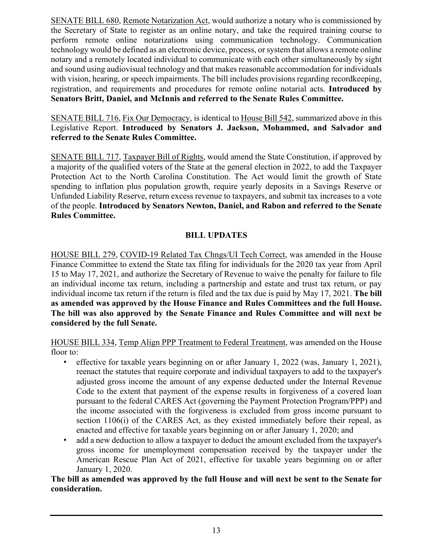SENATE BILL 680, Remote Notarization Act, would authorize a notary who is commissioned by the Secretary of State to register as an online notary, and take the required training course to perform remote online notarizations using communication technology. Communication technology would be defined as an electronic device, process, or system that allows a remote online notary and a remotely located individual to communicate with each other simultaneously by sight and sound using audiovisual technology and that makes reasonable accommodation for individuals with vision, hearing, or speech impairments. The bill includes provisions regarding record keeping, registration, and requirements and procedures for remote online notarial acts. **Introduced by Senators Britt, Daniel, and McInnis and referred to the Senate Rules Committee.**

SENATE BILL 716, Fix Our Democracy, is identical to House Bill 542, summarized above in this Legislative Report. **Introduced by Senators J. Jackson, Mohammed, and Salvador and referred to the Senate Rules Committee.**

SENATE BILL 717, Taxpayer Bill of Rights, would amend the State Constitution, if approved by a majority of the qualified voters of the State at the general election in 2022, to add the Taxpayer Protection Act to the North Carolina Constitution. The Act would limit the growth of State spending to inflation plus population growth, require yearly deposits in a Savings Reserve or Unfunded Liability Reserve, return excess revenue to taxpayers, and submit tax increases to a vote of the people. **Introduced by Senators Newton, Daniel, and Rabon and referred to the Senate Rules Committee.**

# **BILL UPDATES**

HOUSE BILL 279, COVID-19 Related Tax Chngs/UI Tech Correct, was amended in the House Finance Committee to extend the State tax filing for individuals for the 2020 tax year from April 15 to May 17, 2021, and authorize the Secretary of Revenue to waive the penalty for failure to file an individual income tax return, including a partnership and estate and trust tax return, or pay individual income tax return if the return is filed and the tax due is paid by May 17, 2021. **The bill as amended was approved by the House Finance and Rules Committees and the full House. The bill was also approved by the Senate Finance and Rules Committee and will next be considered by the full Senate.**

HOUSE BILL 334, Temp Align PPP Treatment to Federal Treatment, was amended on the House floor to:

- effective for taxable years beginning on or after January 1, 2022 (was, January 1, 2021), reenact the statutes that require corporate and individual taxpayers to add to the taxpayer's adjusted gross income the amount of any expense deducted under the Internal Revenue Code to the extent that payment of the expense results in forgiveness of a covered loan pursuant to the federal CARES Act (governing the Payment Protection Program/PPP) and the income associated with the forgiveness is excluded from gross income pursuant to section 1106(i) of the CARES Act, as they existed immediately before their repeal, as enacted and effective for taxable years beginning on or after January 1, 2020; and
- add a new deduction to allow a taxpayer to deduct the amount excluded from the taxpayer's gross income for unemployment compensation received by the taxpayer under the American Rescue Plan Act of 2021, effective for taxable years beginning on or after January 1, 2020.

**The bill as amended was approved by the full House and will next be sent to the Senate for consideration.**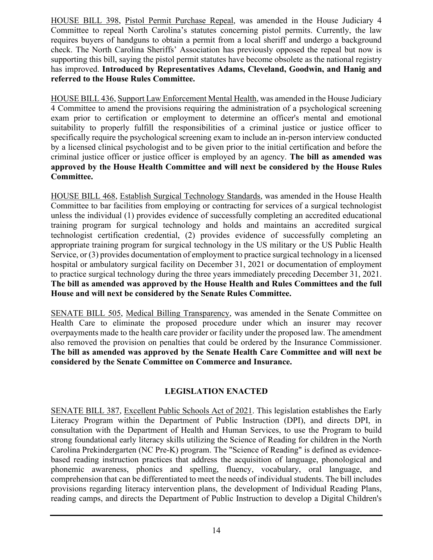HOUSE BILL 398, Pistol Permit Purchase Repeal, was amended in the House Judiciary 4 Committee to repeal North Carolina's statutes concerning pistol permits. Currently, the law requires buyers of handguns to obtain a permit from a local sheriff and undergo a background check. The North Carolina Sheriffs' Association has previously opposed the repeal but now is supporting this bill, saying the pistol permit statutes have become obsolete as the national registry has improved. **Introduced by Representatives Adams, Cleveland, Goodwin, and Hanig and referred to the House Rules Committee.**

HOUSE BILL 436, Support Law Enforcement Mental Health, was amended in the House Judiciary 4 Committee to amend the provisions requiring the administration of a psychological screening exam prior to certification or employment to determine an officer's mental and emotional suitability to properly fulfill the responsibilities of a criminal justice or justice officer to specifically require the psychological screening exam to include an in-person interview conducted by a licensed clinical psychologist and to be given prior to the initial certification and before the criminal justice officer or justice officer is employed by an agency. **The bill as amended was approved by the House Health Committee and will next be considered by the House Rules Committee.**

HOUSE BILL 468, Establish Surgical Technology Standards, was amended in the House Health Committee to bar facilities from employing or contracting for services of a surgical technologist unless the individual (1) provides evidence of successfully completing an accredited educational training program for surgical technology and holds and maintains an accredited surgical technologist certification credential, (2) provides evidence of successfully completing an appropriate training program for surgical technology in the US military or the US Public Health Service, or (3) provides documentation of employment to practice surgical technology in a licensed hospital or ambulatory surgical facility on December 31, 2021 or documentation of employment to practice surgical technology during the three years immediately preceding December 31, 2021. **The bill as amended was approved by the House Health and Rules Committees and the full House and will next be considered by the Senate Rules Committee.**

SENATE BILL 505, Medical Billing Transparency, was amended in the Senate Committee on Health Care to eliminate the proposed procedure under which an insurer may recover overpayments made to the health care provider or facility under the proposed law. The amendment also removed the provision on penalties that could be ordered by the Insurance Commissioner. **The bill as amended was approved by the Senate Health Care Committee and will next be considered by the Senate Committee on Commerce and Insurance.**

# **LEGISLATION ENACTED**

SENATE BILL 387, Excellent Public Schools Act of 2021. This legislation establishes the Early Literacy Program within the Department of Public Instruction (DPI), and directs DPI, in consultation with the Department of Health and Human Services, to use the Program to build strong foundational early literacy skills utilizing the Science of Reading for children in the North Carolina Prekindergarten (NC Pre-K) program. The "Science of Reading" is defined as evidencebased reading instruction practices that address the acquisition of language, phonological and phonemic awareness, phonics and spelling, fluency, vocabulary, oral language, and comprehension that can be differentiated to meet the needs of individual students. The bill includes provisions regarding literacy intervention plans, the development of Individual Reading Plans, reading camps, and directs the Department of Public Instruction to develop a Digital Children's